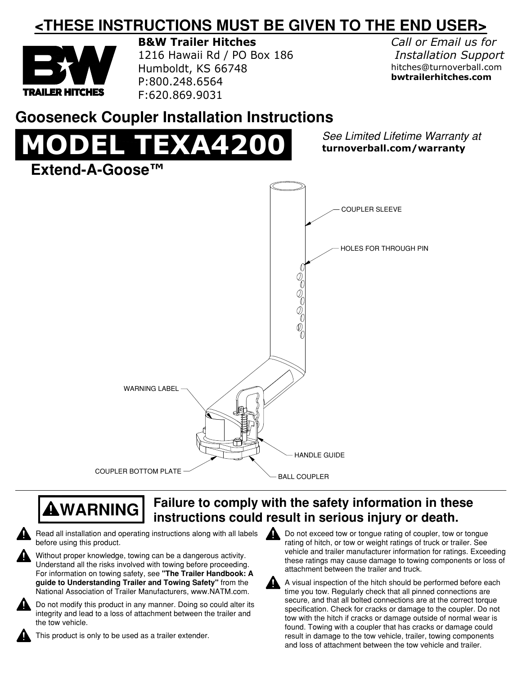### **<THESE INSTRUCTIONS MUST BE GIVEN TO THE END USER>**



**B&W Trailer Hitches** 1216 Hawaii Rd / PO Box 186 Humboldt, KS 66748 P:800.248.6564 F:620.869.9031

*Call or Email us for Installation Support* hitches@turnoverball.com **bwtrailerhitches.com**

### **Gooseneck Coupler Installation Instructions**

# **MODEL TEXA4200** See Limited Lifetime Warranty at **turnoverball.com/warranty** at

**turnoverball.com/warranty**

**Extend−A−Goose™** COUPLER SLEEVE COUPLER BOTTOM PLATE HANDLE GUIDE HOLES FOR THROUGH PIN WARNING LABEL BALL COUPLER

#### **Failure to comply with the safety information in these instructions could result in serious injury or death. WARNING**

Read all installation and operating instructions along with all labels before using this product.

Without proper knowledge, towing can be a dangerous activity. Understand all the risks involved with towing before proceeding. For information on towing safety, see **"The Trailer Handbook: A guide to Understanding Trailer and Towing Safety"** from the National Association of Trailer Manufacturers, www.NATM.com.

Do not modify this product in any manner. Doing so could alter its integrity and lead to a loss of attachment between the trailer and the tow vehicle.

This product is only to be used as a trailer extender.

Do not exceed tow or tongue rating of coupler, tow or tongue rating of hitch, or tow or weight ratings of truck or trailer. See vehicle and trailer manufacturer information for ratings. Exceeding these ratings may cause damage to towing components or loss of attachment between the trailer and truck.



A visual inspection of the hitch should be performed before each time you tow. Regularly check that all pinned connections are secure, and that all bolted connections are at the correct torque specification. Check for cracks or damage to the coupler. Do not tow with the hitch if cracks or damage outside of normal wear is found. Towing with a coupler that has cracks or damage could result in damage to the tow vehicle, trailer, towing components and loss of attachment between the tow vehicle and trailer.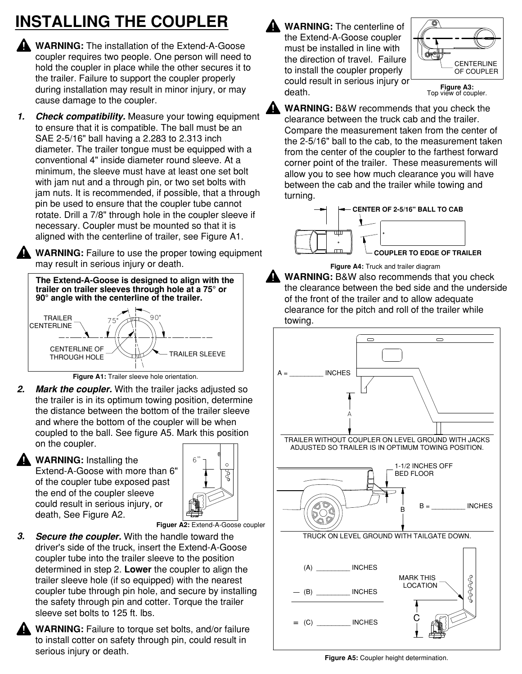## **INSTALLING THE COUPLER**

- **WARNING:** The installation of the Extend−A−Goose coupler requires two people. One person will need to hold the coupler in place while the other secures it to the trailer. Failure to support the coupler properly during installation may result in minor injury, or may cause damage to the coupler.
- *Check compatibility.* Measure your towing equipment to ensure that it is compatible. The ball must be an SAE 2−5/16" ball having a 2.283 to 2.313 inch diameter. The trailer tongue must be equipped with a conventional 4" inside diameter round sleeve. At a minimum, the sleeve must have at least one set bolt with jam nut and a through pin, or two set bolts with jam nuts. It is recommended, if possible, that a through pin be used to ensure that the coupler tube cannot rotate. Drill a 7/8" through hole in the coupler sleeve if necessary. Coupler must be mounted so that it is aligned with the centerline of trailer, see Figure A1. *1.*

**WARNING:** Failure to use the proper towing equipment may result in serious injury or death.



**Figure A1:** Trailer sleeve hole orientation.

- *Mark the coupler.* With the trailer jacks adjusted so the trailer is in its optimum towing position, determine the distance between the bottom of the trailer sleeve and where the bottom of the coupler will be when coupled to the ball. See figure A5. Mark this position on the coupler. *2.*
- **WARNING:** Installing the Extend−A−Goose with more than 6" of the coupler tube exposed past the end of the coupler sleeve could result in serious injury, or death, See Figure A2.



**Figuer A2:** Extend−A−Goose coupler

- *Secure the coupler.* With the handle toward the driver's side of the truck, insert the Extend−A−Goose coupler tube into the trailer sleeve to the position determined in step 2. **Lower** the coupler to align the trailer sleeve hole (if so equipped) with the nearest coupler tube through pin hole, and secure by installing the safety through pin and cotter. Torque the trailer sleeve set bolts to 125 ft. lbs. *3.*
	- **WARNING:** Failure to torque set bolts, and/or failure to install cotter on safety through pin, could result in serious injury or death.

**WARNING:** The centerline of the Extend−A−Goose coupler must be installed in line with the direction of travel. Failure to install the coupler properly could result in serious injury or death.



**Figure A3:**<br>Top view of coupler.

**WARNING:** B&W recommends that you check the clearance between the truck cab and the trailer. Compare the measurement taken from the center of the 2−5/16" ball to the cab, to the measurement taken from the center of the coupler to the farthest forward corner point of the trailer. These measurements will allow you to see how much clearance you will have between the cab and the trailer while towing and turning.



**Figure A4:** Truck and trailer diagram **WARNING:** B&W also recommends that you check the clearance between the bed side and the underside of the front of the trailer and to allow adequate clearance for the pitch and roll of the trailer while towing.



**Figure A5:** Coupler height determination.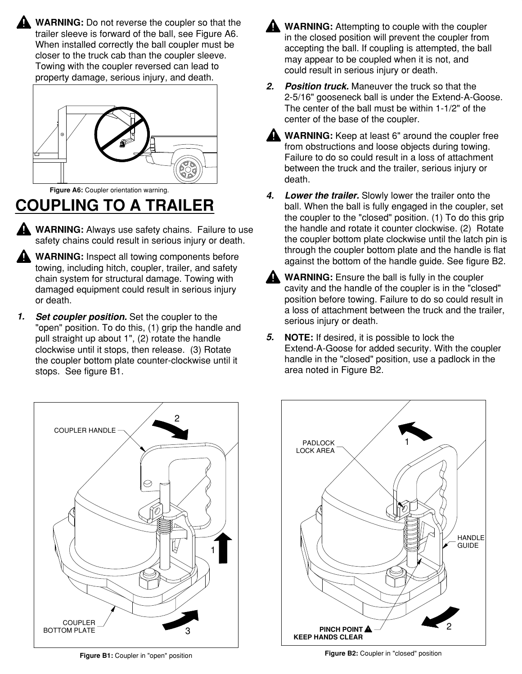

**WARNING:** Do not reverse the coupler so that the trailer sleeve is forward of the ball, see Figure A6. When installed correctly the ball coupler must be closer to the truck cab than the coupler sleeve. Towing with the coupler reversed can lead to property damage, serious injury, and death.



**Figure A6:** Coupler orientation warning.

### **COUPLING TO A TRAILER**

- **WARNING:** Always use safety chains. Failure to use safety chains could result in serious injury or death.
- **WARNING:** Inspect all towing components before towing, including hitch, coupler, trailer, and safety chain system for structural damage. Towing with damaged equipment could result in serious injury or death.
- *Set coupler position.* Set the coupler to the "open" position. To do this, (1) grip the handle and pull straight up about 1", (2) rotate the handle clockwise until it stops, then release. (3) Rotate the coupler bottom plate counter−clockwise until it stops. See figure B1. *1.*
- **WARNING:** Attempting to couple with the coupler in the closed position will prevent the coupler from accepting the ball. If coupling is attempted, the ball may appear to be coupled when it is not, and could result in serious injury or death.
- *Position truck.* Maneuver the truck so that the *2.* 2−5/16" gooseneck ball is under the Extend−A−Goose. The center of the ball must be within 1−1/2" of the center of the base of the coupler.



- **WARNING:** Keep at least 6" around the coupler free from obstructions and loose objects during towing. Failure to do so could result in a loss of attachment between the truck and the trailer, serious injury or death.
- *Lower the trailer.* Slowly lower the trailer onto the ball. When the ball is fully engaged in the coupler, set the coupler to the "closed" position. (1) To do this grip the handle and rotate it counter clockwise. (2) Rotate the coupler bottom plate clockwise until the latch pin is through the coupler bottom plate and the handle is flat against the bottom of the handle guide. See figure B2. *4.*

- **WARNING:** Ensure the ball is fully in the coupler cavity and the handle of the coupler is in the "closed" position before towing. Failure to do so could result in a loss of attachment between the truck and the trailer, serious injury or death.
- **NOTE:** If desired, it is possible to lock the Extend−A−Goose for added security. With the coupler handle in the "closed" position, use a padlock in the area noted in Figure B2. *5.*





**Figure B1:** Coupler in "open" position

**Figure B2:** Coupler in "closed" position